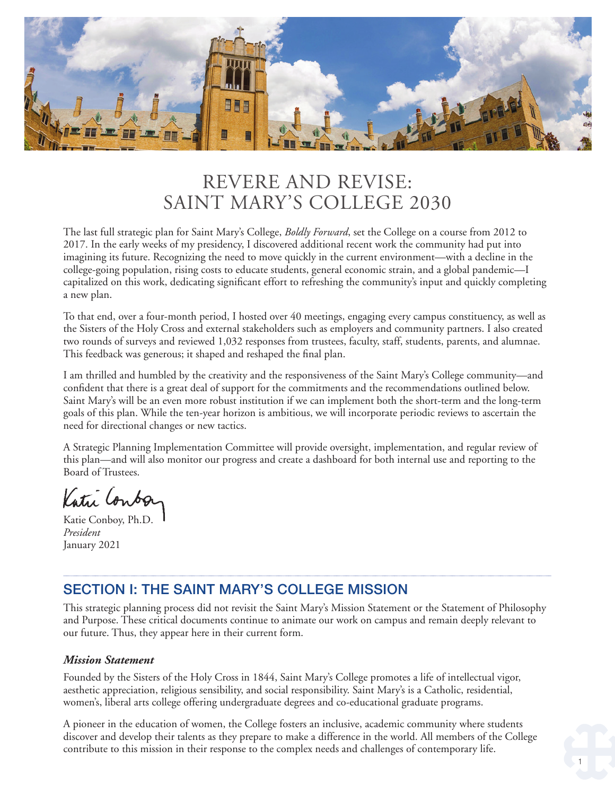

# REVERE AND REVISE: SAINT MARY'S COLLEGE 2030

The last full strategic plan for Saint Mary's College, *Boldly Forward*, set the College on a course from 2012 to 2017. In the early weeks of my presidency, I discovered additional recent work the community had put into imagining its future. Recognizing the need to move quickly in the current environment—with a decline in the college-going population, rising costs to educate students, general economic strain, and a global pandemic—I capitalized on this work, dedicating signifcant effort to refreshing the community's input and quickly completing a new plan.

To that end, over a four-month period, I hosted over 40 meetings, engaging every campus constituency, as well as the Sisters of the Holy Cross and external stakeholders such as employers and community partners. I also created two rounds of surveys and reviewed 1,032 responses from trustees, faculty, staff, students, parents, and alumnae. This feedback was generous; it shaped and reshaped the fnal plan.

I am thrilled and humbled by the creativity and the responsiveness of the Saint Mary's College community—and confdent that there is a great deal of support for the commitments and the recommendations outlined below. Saint Mary's will be an even more robust institution if we can implement both the short-term and the long-term goals of this plan. While the ten-year horizon is ambitious, we will incorporate periodic reviews to ascertain the need for directional changes or new tactics.

A Strategic Planning Implementation Committee will provide oversight, implementation, and regular review of this plan—and will also monitor our progress and create a dashboard for both internal use and reporting to the Board of Trustees.

Katri Conboy

Katie Conboy, Ph.D. *President*  January 2021

## SECTION I: THE SAINT MARY'S COLLEGE MISSION

This strategic planning process did not revisit the Saint Mary's Mission Statement or the Statement of Philosophy and Purpose. These critical documents continue to animate our work on campus and remain deeply relevant to our future. Thus, they appear here in their current form.

#### *Mission Statement*

Founded by the Sisters of the Holy Cross in 1844, Saint Mary's College promotes a life of intellectual vigor, aesthetic appreciation, religious sensibility, and social responsibility. Saint Mary's is a Catholic, residential, women's, liberal arts college offering undergraduate degrees and co-educational graduate programs.

A pioneer in the education of women, the College fosters an inclusive, academic community where students discover and develop their talents as they prepare to make a difference in the world. All members of the College contribute to this mission in their response to the complex needs and challenges of contemporary life.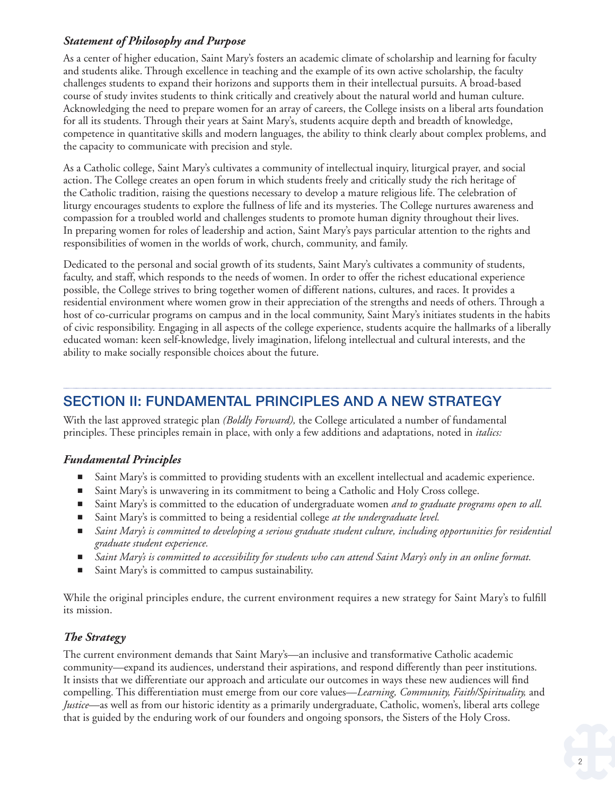#### *Statement of Philosophy and Purpose*

As a center of higher education, Saint Mary's fosters an academic climate of scholarship and learning for faculty and students alike. Through excellence in teaching and the example of its own active scholarship, the faculty challenges students to expand their horizons and supports them in their intellectual pursuits. A broad-based course of study invites students to think critically and creatively about the natural world and human culture. Acknowledging the need to prepare women for an array of careers, the College insists on a liberal arts foundation for all its students. Through their years at Saint Mary's, students acquire depth and breadth of knowledge, competence in quantitative skills and modern languages, the ability to think clearly about complex problems, and the capacity to communicate with precision and style.

As a Catholic college, Saint Mary's cultivates a community of intellectual inquiry, liturgical prayer, and social action. The College creates an open forum in which students freely and critically study the rich heritage of the Catholic tradition, raising the questions necessary to develop a mature religious life. The celebration of liturgy encourages students to explore the fullness of life and its mysteries. The College nurtures awareness and compassion for a troubled world and challenges students to promote human dignity throughout their lives. In preparing women for roles of leadership and action, Saint Mary's pays particular attention to the rights and responsibilities of women in the worlds of work, church, community, and family.

Dedicated to the personal and social growth of its students, Saint Mary's cultivates a community of students, faculty, and staff, which responds to the needs of women. In order to offer the richest educational experience possible, the College strives to bring together women of different nations, cultures, and races. It provides a residential environment where women grow in their appreciation of the strengths and needs of others. Through a host of co-curricular programs on campus and in the local community, Saint Mary's initiates students in the habits of civic responsibility. Engaging in all aspects of the college experience, students acquire the hallmarks of a liberally educated woman: keen self-knowledge, lively imagination, lifelong intellectual and cultural interests, and the ability to make socially responsible choices about the future.

## SECTION II: FUNDAMENTAL PRINCIPLES AND A NEW STRATEGY

With the last approved strategic plan *(Boldly Forward),* the College articulated a number of fundamental principles. These principles remain in place, with only a few additions and adaptations, noted in *italics:* 

#### *Fundamental Principles*

- Saint Mary's is committed to providing students with an excellent intellectual and academic experience.
- Saint Mary's is unwavering in its commitment to being a Catholic and Holy Cross college.
- Saint Mary's is committed to the education of undergraduate women *and to graduate programs open to all.*
- Saint Mary's is committed to being a residential college *at the undergraduate level*.
- *Saint Mary's is committed to developing a serious graduate student culture, including opportunities for residential graduate student experience.*
- *Saint Mary's is committed to accessibility for students who can attend Saint Mary's only in an online format.*
- Saint Mary's is committed to campus sustainability.

While the original principles endure, the current environment requires a new strategy for Saint Mary's to fulfll its mission.

### *The Strategy*

The current environment demands that Saint Mary's—an inclusive and transformative Catholic academic community—expand its audiences, understand their aspirations, and respond differently than peer institutions. It insists that we differentiate our approach and articulate our outcomes in ways these new audiences will fnd compelling. This differentiation must emerge from our core values—*Learning, Community, Faith/Spirituality,* and *Justice*—as well as from our historic identity as a primarily undergraduate, Catholic, women's, liberal arts college that is guided by the enduring work of our founders and ongoing sponsors, the Sisters of the Holy Cross.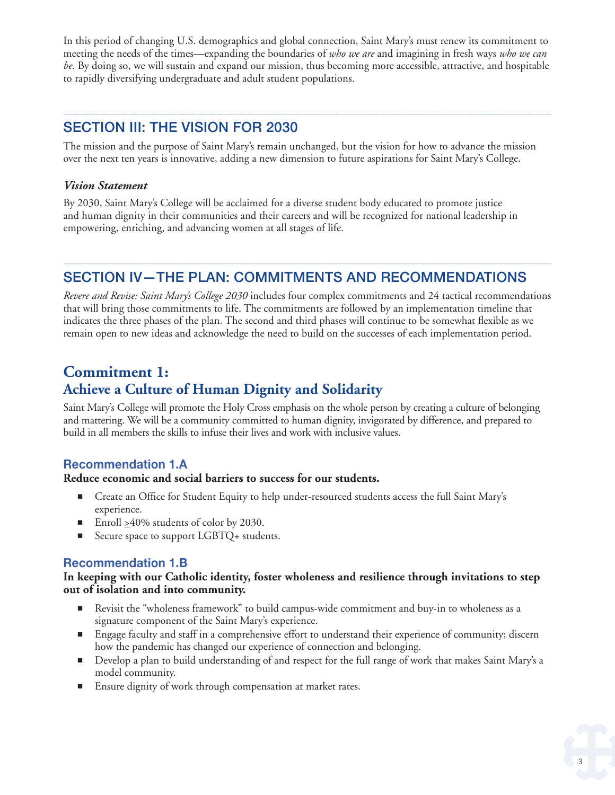In this period of changing U.S. demographics and global connection, Saint Mary's must renew its commitment to meeting the needs of the times—expanding the boundaries of *who we are* and imagining in fresh ways *who we can be*. By doing so, we will sustain and expand our mission, thus becoming more accessible, attractive, and hospitable to rapidly diversifying undergraduate and adult student populations.

## SECTION III: THE VISION FOR 2030

The mission and the purpose of Saint Mary's remain unchanged, but the vision for how to advance the mission over the next ten years is innovative, adding a new dimension to future aspirations for Saint Mary's College.

#### *Vision Statement*

By 2030, Saint Mary's College will be acclaimed for a diverse student body educated to promote justice and human dignity in their communities and their careers and will be recognized for national leadership in empowering, enriching, and advancing women at all stages of life.

## SECTION IV—THE PLAN: COMMITMENTS AND RECOMMENDATIONS

*Revere and Revise: Saint Mary's College 2030* includes four complex commitments and 24 tactical recommendations that will bring those commitments to life. The commitments are followed by an implementation timeline that indicates the three phases of the plan. The second and third phases will continue to be somewhat fexible as we remain open to new ideas and acknowledge the need to build on the successes of each implementation period.

## **Commitment 1: Achieve a Culture of Human Dignity and Solidarity**

Saint Mary's College will promote the Holy Cross emphasis on the whole person by creating a culture of belonging and mattering. We will be a community committed to human dignity, invigorated by difference, and prepared to build in all members the skills to infuse their lives and work with inclusive values.

#### **Recommendation 1.A**

#### **Reduce economic and social barriers to success for our students.**

- Create an Office for Student Equity to help under-resourced students access the full Saint Mary's experience.
- Enroll  $\geq$ 40% students of color by 2030.
- Secure space to support LGBTQ+ students.

#### **Recommendation 1.B**

#### **In keeping with our Catholic identity, foster wholeness and resilience through invitations to step out of isolation and into community.**

- Revisit the "wholeness framework" to build campus-wide commitment and buy-in to wholeness as a signature component of the Saint Mary's experience.
- Engage faculty and staff in a comprehensive effort to understand their experience of community; discern how the pandemic has changed our experience of connection and belonging.
- Develop a plan to build understanding of and respect for the full range of work that makes Saint Mary's a model community.
- Ensure dignity of work through compensation at market rates.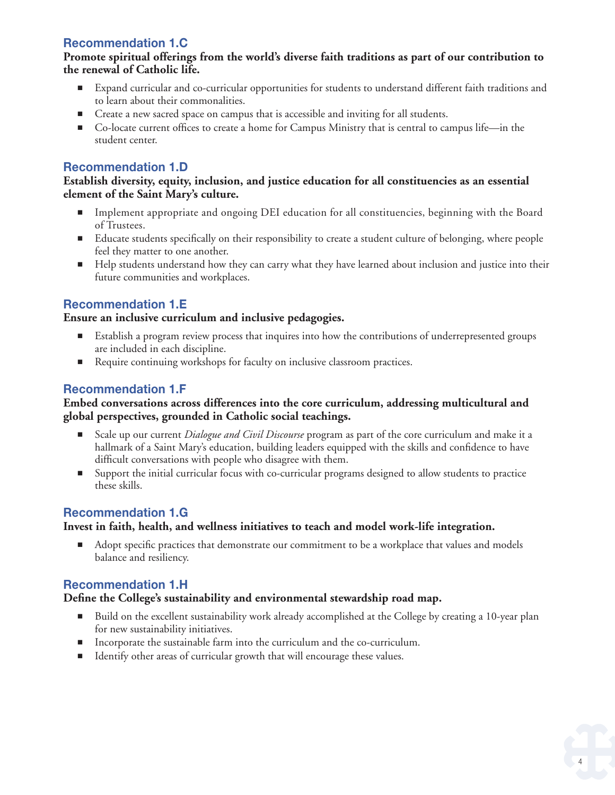## **Recommendation 1.C**

#### **Promote spiritual offerings from the world's diverse faith traditions as part of our contribution to the renewal of Catholic life.**

- Expand curricular and co-curricular opportunities for students to understand different faith traditions and to learn about their commonalities.
- Create a new sacred space on campus that is accessible and inviting for all students.
- Co-locate current offices to create a home for Campus Ministry that is central to campus life—in the student center.

## **Recommendation 1.D**

#### **Establish diversity, equity, inclusion, and justice education for all constituencies as an essential element of the Saint Mary's culture.**

- Implement appropriate and ongoing DEI education for all constituencies, beginning with the Board of Trustees.
- Educate students specifically on their responsibility to create a student culture of belonging, where people feel they matter to one another.
- Help students understand how they can carry what they have learned about inclusion and justice into their future communities and workplaces.

### **Recommendation 1.E**

#### **Ensure an inclusive curriculum and inclusive pedagogies.**

- Establish a program review process that inquires into how the contributions of underrepresented groups are included in each discipline.
- Require continuing workshops for faculty on inclusive classroom practices.

## **Recommendation 1.F**

#### **Embed conversations across differences into the core curriculum, addressing multicultural and global perspectives, grounded in Catholic social teachings.**

- Scale up our current *Dialogue and Civil Discourse* program as part of the core curriculum and make it a hallmark of a Saint Mary's education, building leaders equipped with the skills and confdence to have diffcult conversations with people who disagree with them.
- Support the initial curricular focus with co-curricular programs designed to allow students to practice these skills.

### **Recommendation 1.G**

#### **Invest in faith, health, and wellness initiatives to teach and model work-life integration.**

■ Adopt specific practices that demonstrate our commitment to be a workplace that values and models balance and resiliency.

### **Recommendation 1.H**

#### **Defne the College's sustainability and environmental stewardship road map.**

- Build on the excellent sustainability work already accomplished at the College by creating a 10-year plan for new sustainability initiatives.
- Incorporate the sustainable farm into the curriculum and the co-curriculum.
- Identify other areas of curricular growth that will encourage these values.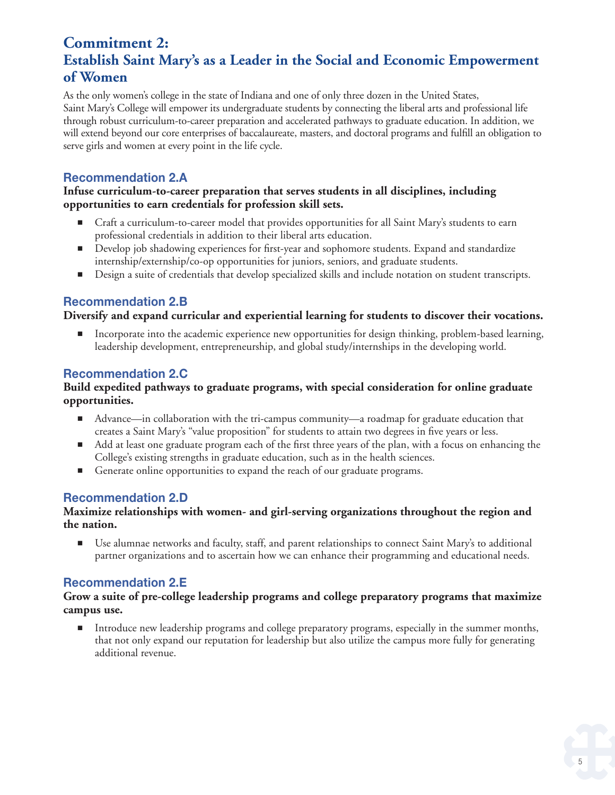## **Commitment 2: Establish Saint Mary's as a Leader in the Social and Economic Empowerment of Women**

As the only women's college in the state of Indiana and one of only three dozen in the United States, Saint Mary's College will empower its undergraduate students by connecting the liberal arts and professional life through robust curriculum-to-career preparation and accelerated pathways to graduate education. In addition, we will extend beyond our core enterprises of baccalaureate, masters, and doctoral programs and fulfll an obligation to serve girls and women at every point in the life cycle.

## **Recommendation 2.A**

#### **Infuse curriculum-to-career preparation that serves students in all disciplines, including opportunities to earn credentials for profession skill sets.**

- Craft a curriculum-to-career model that provides opportunities for all Saint Mary's students to earn professional credentials in addition to their liberal arts education.
- Develop job shadowing experiences for first-year and sophomore students. Expand and standardize internship/externship/co-op opportunities for juniors, seniors, and graduate students.
- Design a suite of credentials that develop specialized skills and include notation on student transcripts.

### **Recommendation 2.B**

#### **Diversify and expand curricular and experiential learning for students to discover their vocations.**

■ Incorporate into the academic experience new opportunities for design thinking, problem-based learning, leadership development, entrepreneurship, and global study/internships in the developing world.

### **Recommendation 2.C**

#### **Build expedited pathways to graduate programs, with special consideration for online graduate opportunities.**

- Advance—in collaboration with the tri-campus community—a roadmap for graduate education that creates a Saint Mary's "value proposition" for students to attain two degrees in fve years or less.
- Add at least one graduate program each of the first three years of the plan, with a focus on enhancing the College's existing strengths in graduate education, such as in the health sciences.
- Generate online opportunities to expand the reach of our graduate programs.

## **Recommendation 2.D**

#### **Maximize relationships with women- and girl-serving organizations throughout the region and the nation.**

■ Use alumnae networks and faculty, staff, and parent relationships to connect Saint Mary's to additional partner organizations and to ascertain how we can enhance their programming and educational needs.

### **Recommendation 2.E**

#### **Grow a suite of pre-college leadership programs and college preparatory programs that maximize campus use.**

■ Introduce new leadership programs and college preparatory programs, especially in the summer months, that not only expand our reputation for leadership but also utilize the campus more fully for generating additional revenue.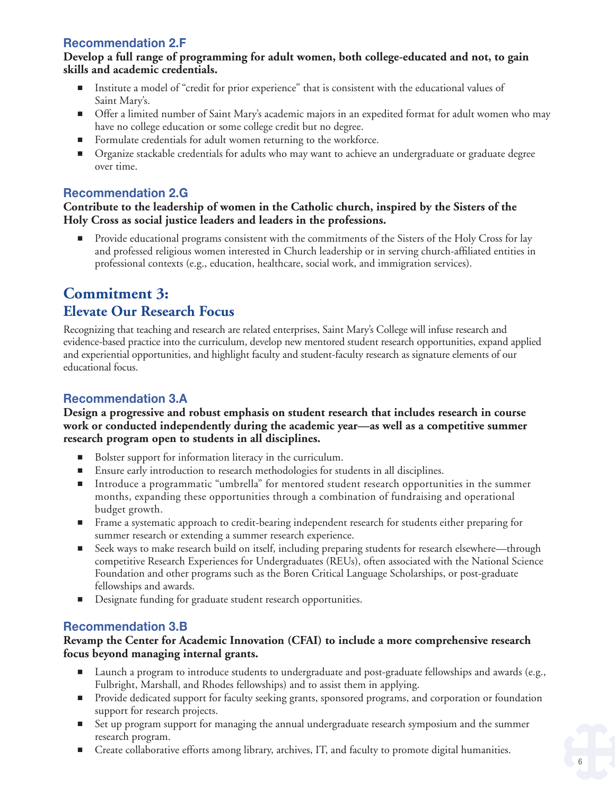## **Recommendation 2.F**

#### **Develop a full range of programming for adult women, both college-educated and not, to gain skills and academic credentials.**

- Institute a model of "credit for prior experience" that is consistent with the educational values of Saint Mary's.
- Offer a limited number of Saint Mary's academic majors in an expedited format for adult women who may have no college education or some college credit but no degree.
- Formulate credentials for adult women returning to the workforce.
- Organize stackable credentials for adults who may want to achieve an undergraduate or graduate degree over time.

## **Recommendation 2.G**

#### **Contribute to the leadership of women in the Catholic church, inspired by the Sisters of the Holy Cross as social justice leaders and leaders in the professions.**

■ Provide educational programs consistent with the commitments of the Sisters of the Holy Cross for lay and professed religious women interested in Church leadership or in serving church-affliated entities in professional contexts (e.g., education, healthcare, social work, and immigration services).

## **Commitment 3: Elevate Our Research Focus**

Recognizing that teaching and research are related enterprises, Saint Mary's College will infuse research and evidence-based practice into the curriculum, develop new mentored student research opportunities, expand applied and experiential opportunities, and highlight faculty and student-faculty research as signature elements of our educational focus.

## **Recommendation 3.A**

#### **Design a progressive and robust emphasis on student research that includes research in course work or conducted independently during the academic year—as well as a competitive summer research program open to students in all disciplines.**

- Bolster support for information literacy in the curriculum.
- Ensure early introduction to research methodologies for students in all disciplines.
- Introduce a programmatic "umbrella" for mentored student research opportunities in the summer months, expanding these opportunities through a combination of fundraising and operational budget growth.
- Frame a systematic approach to credit-bearing independent research for students either preparing for summer research or extending a summer research experience.
- Seek ways to make research build on itself, including preparing students for research elsewhere—through competitive Research Experiences for Undergraduates (REUs), often associated with the National Science Foundation and other programs such as the Boren Critical Language Scholarships, or post-graduate fellowships and awards.
- Designate funding for graduate student research opportunities.

## **Recommendation 3.B**

#### **Revamp the Center for Academic Innovation (CFAI) to include a more comprehensive research focus beyond managing internal grants.**

- Launch a program to introduce students to undergraduate and post-graduate fellowships and awards (e.g., Fulbright, Marshall, and Rhodes fellowships) and to assist them in applying.
- Provide dedicated support for faculty seeking grants, sponsored programs, and corporation or foundation support for research projects.
- Set up program support for managing the annual undergraduate research symposium and the summer research program.
- Create collaborative efforts among library, archives, IT, and faculty to promote digital humanities.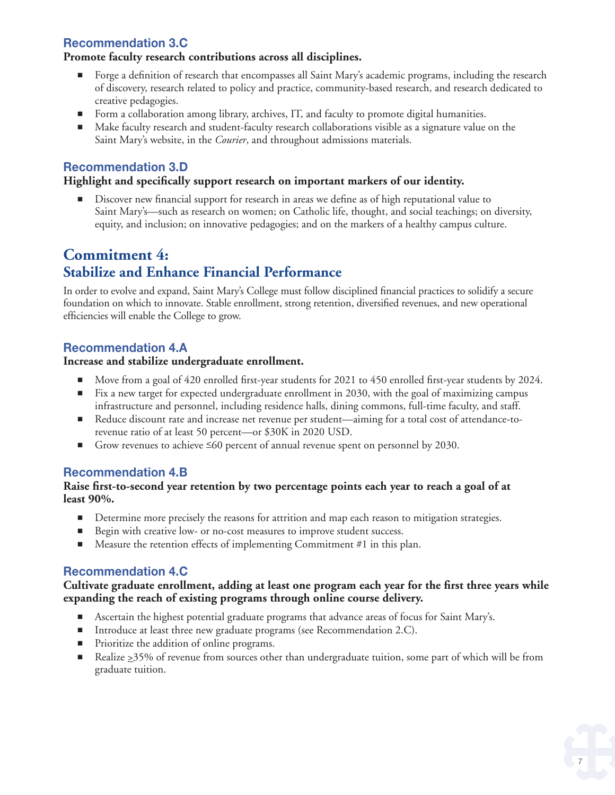## **Recommendation 3.C**

#### **Promote faculty research contributions across all disciplines.**

- Forge a definition of research that encompasses all Saint Mary's academic programs, including the research of discovery, research related to policy and practice, community-based research, and research dedicated to creative pedagogies.
- Form a collaboration among library, archives, IT, and faculty to promote digital humanities.
- Make faculty research and student-faculty research collaborations visible as a signature value on the Saint Mary's website, in the *Courier*, and throughout admissions materials.

### **Recommendation 3.D**

#### **Highlight and specifcally support research on important markers of our identity.**

Discover new financial support for research in areas we define as of high reputational value to Saint Mary's—such as research on women; on Catholic life, thought, and social teachings; on diversity, equity, and inclusion; on innovative pedagogies; and on the markers of a healthy campus culture.

## **Commitment 4: Stabilize and Enhance Financial Performance**

In order to evolve and expand, Saint Mary's College must follow disciplined fnancial practices to solidify a secure foundation on which to innovate. Stable enrollment, strong retention, diversifed revenues, and new operational effciencies will enable the College to grow.

## **Recommendation 4.A**

#### **Increase and stabilize undergraduate enrollment.**

- Move from a goal of 420 enrolled first-year students for 2021 to 450 enrolled first-year students by 2024.
- Fix a new target for expected undergraduate enrollment in 2030, with the goal of maximizing campus infrastructure and personnel, including residence halls, dining commons, full-time faculty, and staff.
- Reduce discount rate and increase net revenue per student—aiming for a total cost of attendance-torevenue ratio of at least 50 percent—or \$30K in 2020 USD.
- Grow revenues to achieve  $\leq 60$  percent of annual revenue spent on personnel by 2030.

#### **Recommendation 4.B**

#### **Raise frst-to-second year retention by two percentage points each year to reach a goal of at least 90%.**

- Determine more precisely the reasons for attrition and map each reason to mitigation strategies.
- Begin with creative low- or no-cost measures to improve student success.
- Measure the retention effects of implementing Commitment #1 in this plan.

#### **Recommendation 4.C**

#### **Cultivate graduate enrollment, adding at least one program each year for the frst three years while expanding the reach of existing programs through online course delivery.**

- Ascertain the highest potential graduate programs that advance areas of focus for Saint Mary's.
- Introduce at least three new graduate programs (see Recommendation 2.C).
- Prioritize the addition of online programs.
- Realize  $\geq$  35% of revenue from sources other than undergraduate tuition, some part of which will be from graduate tuition.